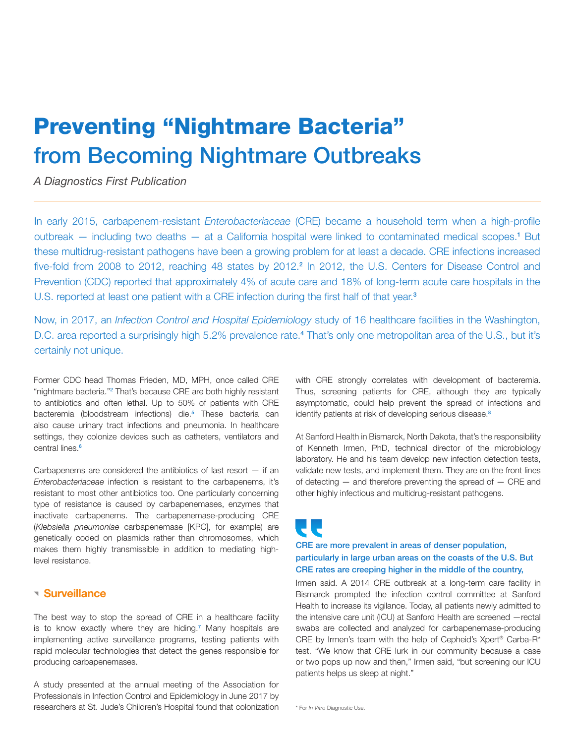# Preventing "Nightmare Bacteria" from Becoming Nightmare Outbreaks

*A Diagnostics First Publication*

In early 2015, carbapenem-resistant *Enterobacteriaceae* (CRE) became a household term when a high-profile outbreak – including two deaths – at a California hospital were linked to contaminated medical scopes.<sup>1</sup> But these multidrug-resistant pathogens have been a growing problem for at least a decade. CRE infections increased five-fold from 2008 to 2012, reaching 48 states by 2012.<sup>2</sup> In 2012, the U.S. Centers for Disease Control and Prevention (CDC) reported that approximately 4% of acute care and 18% of long-term acute care hospitals in the U.S. reported at least one patient with a CRE infection during the first half of that year.<sup>3</sup>

Now, in 2017, an *Infection Control and Hospital Epidemiology* study of 16 healthcare facilities in the Washington, D.C. area reported a surprisingly high 5.2% prevalence rate.<sup>4</sup> That's only one metropolitan area of the U.S., but it's certainly not unique.

Former CDC head Thomas Frieden, MD, MPH, once called CRE "nightmare bacteria."<sup>2</sup> That's because CRE are both highly resistant to antibiotics and often lethal. Up to 50% of patients with CRE bacteremia (bloodstream infections) die.<sup>5</sup> These bacteria can also cause urinary tract infections and pneumonia. In healthcare settings, they colonize devices such as catheters, ventilators and central lines.<sup>6</sup>

Carbapenems are considered the antibiotics of last resort  $-$  if an *Enterobacteriaceae* infection is resistant to the carbapenems, it's resistant to most other antibiotics too. One particularly concerning type of resistance is caused by carbapenemases, enzymes that inactivate carbapenems. The carbapenemase-producing CRE (*Klebsiella pneumoniae* carbapenemase [KPC], for example) are genetically coded on plasmids rather than chromosomes, which makes them highly transmissible in addition to mediating highlevel resistance.

### Surveillance

The best way to stop the spread of CRE in a healthcare facility is to know exactly where they are hiding.<sup>7</sup> Many hospitals are implementing active surveillance programs, testing patients with rapid molecular technologies that detect the genes responsible for producing carbapenemases.

A study presented at the annual meeting of the Association for Professionals in Infection Control and Epidemiology in June 2017 by researchers at St. Jude's Children's Hospital found that colonization with CRE strongly correlates with development of bacteremia. Thus, screening patients for CRE, although they are typically asymptomatic, could help prevent the spread of infections and identify patients at risk of developing serious disease.<sup>8</sup>

At Sanford Health in Bismarck, North Dakota, that's the responsibility of Kenneth Irmen, PhD, technical director of the microbiology laboratory. He and his team develop new infection detection tests, validate new tests, and implement them. They are on the front lines of detecting — and therefore preventing the spread of — CRE and other highly infectious and multidrug-resistant pathogens.

## U CRE are more prevalent in areas of denser population, particularly in large urban areas on the coasts of the U.S. But CRE rates are creeping higher in the middle of the country,

Irmen said. A 2014 CRE outbreak at a long-term care facility in Bismarck prompted the infection control committee at Sanford Health to increase its vigilance. Today, all patients newly admitted to the intensive care unit (ICU) at Sanford Health are screened —rectal swabs are collected and analyzed for carbapenemase-producing CRE by Irmen's team with the help of Cepheid's Xpert® Carba-R\* test. "We know that CRE lurk in our community because a case or two pops up now and then," Irmen said, "but screening our ICU patients helps us sleep at night."

\* For *In Vitro* Diagnostic Use.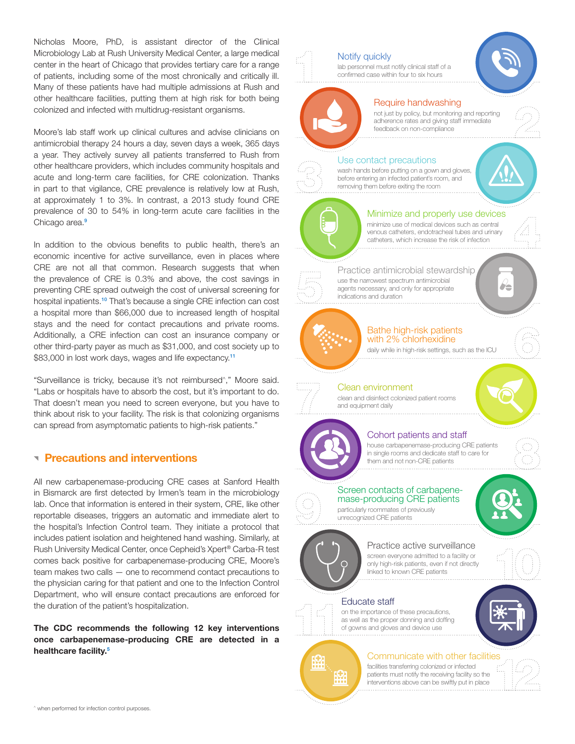Nicholas Moore, PhD, is assistant director of the Clinical Microbiology Lab at Rush University Medical Center, a large medical center in the heart of Chicago that provides tertiary care for a range of patients, including some of the most chronically and critically ill. Many of these patients have had multiple admissions at Rush and other healthcare facilities, putting them at high risk for both being colonized and infected with multidrug-resistant organisms.

Moore's lab staff work up clinical cultures and advise clinicians on antimicrobial therapy 24 hours a day, seven days a week, 365 days a year. They actively survey all patients transferred to Rush from other healthcare providers, which includes community hospitals and acute and long-term care facilities, for CRE colonization. Thanks in part to that vigilance, CRE prevalence is relatively low at Rush, at approximately 1 to 3%. In contrast, a 2013 study found CRE prevalence of 30 to 54% in long-term acute care facilities in the Chicago area.<sup>9</sup>

In addition to the obvious benefits to public health, there's an economic incentive for active surveillance, even in places where CRE are not all that common. Research suggests that when the prevalence of CRE is 0.3% and above, the cost savings in preventing CRE spread outweigh the cost of universal screening for hospital inpatients.<sup>10</sup> That's because a single CRE infection can cost a hospital more than \$66,000 due to increased length of hospital stays and the need for contact precautions and private rooms. Additionally, a CRE infection can cost an insurance company or other third-party payer as much as \$31,000, and cost society up to \$83,000 in lost work days, wages and life expectancy.<sup>11</sup>

"Surveillance is tricky, because it's not reimbursed^," Moore said. "Labs or hospitals have to absorb the cost, but it's important to do. That doesn't mean you need to screen everyone, but you have to think about risk to your facility. The risk is that colonizing organisms can spread from asymptomatic patients to high-risk patients."

## **Precautions and interventions**

All new carbapenemase-producing CRE cases at Sanford Health in Bismarck are first detected by Irmen's team in the microbiology lab. Once that information is entered in their system, CRE, like other reportable diseases, triggers an automatic and immediate alert to the hospital's Infection Control team. They initiate a protocol that includes patient isolation and heightened hand washing. Similarly, at Rush University Medical Center, once Cepheid's Xpert® Carba-R test comes back positive for carbapenemase-producing CRE, Moore's team makes two calls — one to recommend contact precautions to the physician caring for that patient and one to the Infection Control Department, who will ensure contact precautions are enforced for the duration of the patient's hospitalization.

#### The CDC recommends the following 12 key interventions once carbapenemase-producing CRE are detected in a healthcare facility.<sup>5</sup>





facilities transferring colonized or infected patients must notify the receiving facility so the interventions above can be swiftly put in place